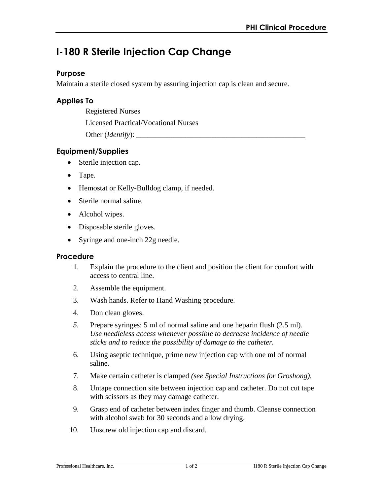# **I-180 R Sterile Injection Cap Change**

## **Purpose**

Maintain a sterile closed system by assuring injection cap is clean and secure.

## **Applies To**

Registered Nurses

Licensed Practical/Vocational Nurses

Other (*Identify*):

## **Equipment/Supplies**

- Sterile injection cap.
- Tape.
- Hemostat or Kelly-Bulldog clamp, if needed.
- Sterile normal saline.
- Alcohol wipes.
- Disposable sterile gloves.
- Syringe and one-inch 22g needle.

#### **Procedure**

- 1. Explain the procedure to the client and position the client for comfort with access to central line.
- 2. Assemble the equipment.
- 3. Wash hands. Refer to Hand Washing procedure.
- 4. Don clean gloves.
- *5.* Prepare syringes: 5 ml of normal saline and one heparin flush (2.5 ml). *Use needleless access whenever possible to decrease incidence of needle sticks and to reduce the possibility of damage to the catheter.*
- 6. Using aseptic technique, prime new injection cap with one ml of normal saline.
- 7. Make certain catheter is clamped *(see Special Instructions for Groshong).*
- 8. Untape connection site between injection cap and catheter. Do not cut tape with scissors as they may damage catheter.
- 9. Grasp end of catheter between index finger and thumb. Cleanse connection with alcohol swab for 30 seconds and allow drying.
- 10. Unscrew old injection cap and discard.